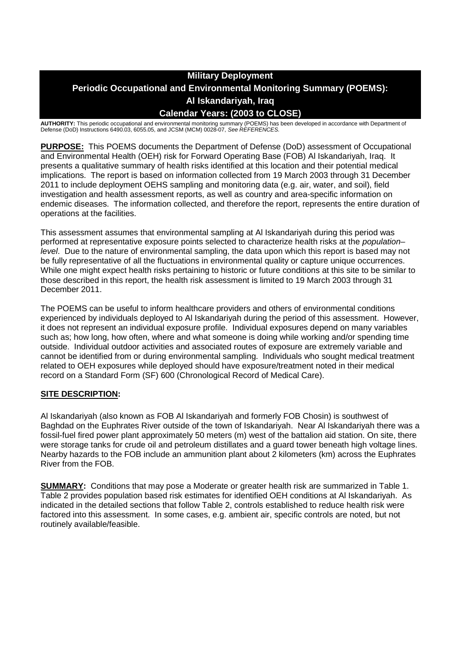## **Military Deployment Periodic Occupational and Environmental Monitoring Summary (POEMS): Al Iskandariyah, Iraq Calendar Years: (2003 to CLOSE)**

**AUTHORITY:** This periodic occupational and environmental monitoring summary (POEMS) has been developed in accordance with Department of Defense (DoD) Instructions 6490.03, 6055.05, and JCSM (MCM) 0028-07, *See REFERENCES.*

**PURPOSE:** This POEMS documents the Department of Defense (DoD) assessment of Occupational and Environmental Health (OEH) risk for Forward Operating Base (FOB) Al Iskandariyah, Iraq. It presents a qualitative summary of health risks identified at this location and their potential medical implications. The report is based on information collected from 19 March 2003 through 31 December 2011 to include deployment OEHS sampling and monitoring data (e.g. air, water, and soil), field investigation and health assessment reports, as well as country and area-specific information on endemic diseases. The information collected, and therefore the report, represents the entire duration of operations at the facilities.

This assessment assumes that environmental sampling at Al Iskandariyah during this period was performed at representative exposure points selected to characterize health risks at the *population– level*. Due to the nature of environmental sampling, the data upon which this report is based may not be fully representative of all the fluctuations in environmental quality or capture unique occurrences. While one might expect health risks pertaining to historic or future conditions at this site to be similar to those described in this report, the health risk assessment is limited to 19 March 2003 through 31 December 2011.

The POEMS can be useful to inform healthcare providers and others of environmental conditions experienced by individuals deployed to Al Iskandariyah during the period of this assessment. However, it does not represent an individual exposure profile. Individual exposures depend on many variables such as; how long, how often, where and what someone is doing while working and/or spending time outside. Individual outdoor activities and associated routes of exposure are extremely variable and cannot be identified from or during environmental sampling. Individuals who sought medical treatment related to OEH exposures while deployed should have exposure/treatment noted in their medical record on a Standard Form (SF) 600 (Chronological Record of Medical Care).

### **SITE DESCRIPTION:**

Al Iskandariyah (also known as FOB Al Iskandariyah and formerly FOB Chosin) is southwest of Baghdad on the Euphrates River outside of the town of Iskandariyah. Near Al Iskandariyah there was a fossil-fuel fired power plant approximately 50 meters (m) west of the battalion aid station. On site, there were storage tanks for crude oil and petroleum distillates and a guard tower beneath high voltage lines. Nearby hazards to the FOB include an ammunition plant about 2 kilometers (km) across the Euphrates River from the FOB.

**SUMMARY:** Conditions that may pose a Moderate or greater health risk are summarized in Table 1. Table 2 provides population based risk estimates for identified OEH conditions at Al Iskandariyah. As indicated in the detailed sections that follow Table 2, controls established to reduce health risk were factored into this assessment. In some cases, e.g. ambient air, specific controls are noted, but not routinely available/feasible.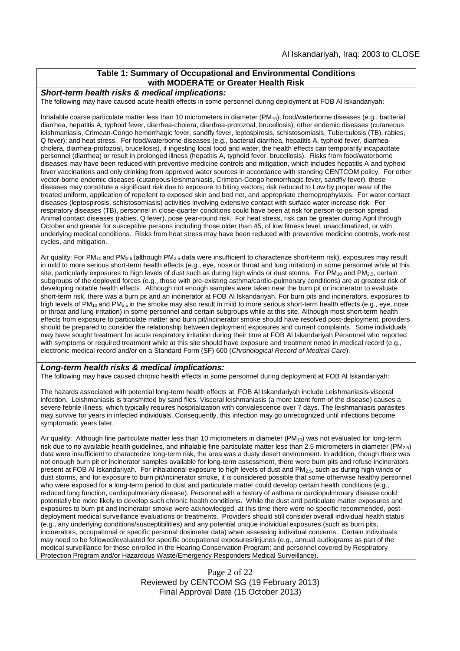### **Table 1: Summary of Occupational and Environmental Conditions with MODERATE or Greater Health Risk**

#### *Short-term health risks & medical implications:*

The following may have caused acute health effects in some personnel during deployment at FOB Al Iskandariyah:

Inhalable coarse particulate matter less than 10 micrometers in diameter  $(PM_{10})$ ; food/waterborne diseases (e.g., bacterial diarrhea, hepatitis A, typhoid fever, diarrhea-cholera, diarrhea-protozoal, brucellosis); other endemic diseases (cutaneous leishmaniasis, Crimean-Congo hemorrhagic fever, sandfly fever, leptospirosis, schistosomiasis, Tuberculosis (TB), rabies, Q fever); and heat stress. For food/waterborne diseases (e.g., bacterial diarrhea, hepatitis A, typhoid fever, diarrheacholera, diarrhea-protozoal, brucellosis), if ingesting local food and water, the health effects can temporarily incapacitate personnel (diarrhea) or result in prolonged illness (hepatitis A, typhoid fever, brucellosis). Risks from food/waterborne diseases may have been reduced with preventive medicine controls and mitigation, which includes hepatitis A and typhoid fever vaccinations and only drinking from approved water sources in accordance with standing CENTCOM policy. For other vector-borne endemic diseases (cutaneous leishmaniasis, Crimean-Congo hemorrhagic fever, sandfly fever), these diseases may constitute a significant risk due to exposure to biting vectors; risk reduced to Low by proper wear of the treated uniform, application of repellent to exposed skin and bed net, and appropriate chemoprophylaxis. For water contact diseases (leptospirosis, schistosomiasis) activities involving extensive contact with surface water increase risk. For respiratory diseases (TB), personnel in close-quarter conditions could have been at risk for person-to-person spread. Animal contact diseases (rabies, Q fever), pose year-round risk. For heat stress, risk can be greater during April through October and greater for susceptible persons including those older than 45, of low fitness level, unacclimatized, or with underlying medical conditions. Risks from heat stress may have been reduced with preventive medicine controls, work-rest cycles, and mitigation.

Air quality: For PM<sub>10</sub> and PM<sub>2.5</sub> (although PM<sub>2.5</sub> data were insufficient to characterize short-term risk), exposures may result in mild to more serious short-term health effects (e.g., eye, nose or throat and lung irritation) in some personnel while at this site, particularly exposures to high levels of dust such as during high winds or dust storms. For  $PM_{10}$  and  $PM_{2.5}$ , certain subgroups of the deployed forces (e.g., those with pre-existing asthma/cardio-pulmonary conditions) are at greatest risk of developing notable health effects. Although not enough samples were taken near the burn pit or incinerator to evaluate short-term risk, there was a burn pit and an incinerator at FOB Al Iskandariyah. For burn pits and incinerators, exposures to high levels of PM<sub>10</sub> and PM<sub>2.5</sub> in the smoke may also result in mild to more serious short-term health effects (e.g., eye, nose or throat and lung irritation) in some personnel and certain subgroups while at this site. Although most short-term health effects from exposure to particulate matter and burn pit/incinerator smoke should have resolved post-deployment, providers should be prepared to consider the relationship between deployment exposures and current complaints. Some individuals may have sought treatment for acute respiratory irritation during their time at FOB Al Iskandariyah Personnel who reported with symptoms or required treatment while at this site should have exposure and treatment noted in medical record (e.g., electronic medical record and/or on a Standard Form (SF) 600 (*Chronological Record of Medical Care*).

#### *Long-term health risks & medical implications:*

The following may have caused chronic health effects in some personnel during deployment at FOB Al Iskandariyah:

The hazards associated with potential long-term health effects at FOB Al Iskandariyah include Leishmaniasis-visceral infection. Leishmaniasis is transmitted by sand flies. Visceral leishmaniasis (a more latent form of the disease) causes a severe febrile illness, which typically requires hospitalization with convalescence over 7 days. The leishmaniasis parasites may survive for years in infected individuals. Consequently, this infection may go unrecognized until infections become symptomatic years later.

Air quality: Although fine particulate matter less than 10 micrometers in diameter (PM<sub>10</sub>) was not evaluated for long-term risk due to no available health quidelines, and inhalable fine particulate matter less than 2.5 micrometers in diameter (PM<sub>2.5</sub>) data were insufficient to characterize long-term risk, the area was a dusty desert environment. In addition, though there was not enough burn pit or incinerator samples available for long-term assessment, there were burn pits and refuse incinerators present at FOB Al Iskandariyah. For inhalational exposure to high levels of dust and PM2.5, such as during high winds or dust storms, and for exposure to burn pit/incinerator smoke, it is considered possible that some otherwise healthy personnel who were exposed for a long-term period to dust and particulate matter could develop certain health conditions (e.g., reduced lung function, cardiopulmonary disease). Personnel with a history of asthma or cardiopulmonary disease could potentially be more likely to develop such chronic health conditions. While the dust and particulate matter exposures and exposures to burn pit and incinerator smoke were acknowledged, at this time there were no specific recommended, postdeployment medical surveillance evaluations or treatments. Providers should still consider overall individual health status (e.g., any underlying conditions/susceptibilities) and any potential unique individual exposures (such as burn pits, incinerators, occupational or specific personal dosimeter data) when assessing individual concerns. Certain individuals may need to be followed/evaluated for specific occupational exposures/injuries (e.g., annual audiograms as part of the medical surveillance for those enrolled in the Hearing Conservation Program; and personnel covered by Respiratory Protection Program and/or Hazardous Waste/Emergency Responders Medical Surveillance).

> Page 2 of 22 Reviewed by CENTCOM SG (19 February 2013) Final Approval Date (15 October 2013)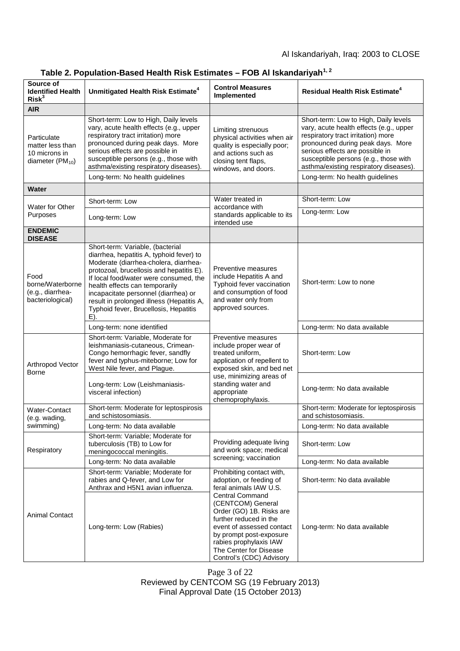### Al Iskandariyah, Iraq: 2003 to CLOSE

| Source of<br><b>Identified Health</b><br>Risk <sup>3</sup>                 | Unmitigated Health Risk Estimate <sup>4</sup>                                                                                                                                                                                                                                                                                                                                      | <b>Control Measures</b><br>Implemented                                                                                                                                                                                                    | <b>Residual Health Risk Estimate<sup>4</sup></b>                                                                                                                                                                                                                                                                     |
|----------------------------------------------------------------------------|------------------------------------------------------------------------------------------------------------------------------------------------------------------------------------------------------------------------------------------------------------------------------------------------------------------------------------------------------------------------------------|-------------------------------------------------------------------------------------------------------------------------------------------------------------------------------------------------------------------------------------------|----------------------------------------------------------------------------------------------------------------------------------------------------------------------------------------------------------------------------------------------------------------------------------------------------------------------|
| <b>AIR</b>                                                                 |                                                                                                                                                                                                                                                                                                                                                                                    |                                                                                                                                                                                                                                           |                                                                                                                                                                                                                                                                                                                      |
| Particulate<br>matter less than<br>10 microns in<br>diameter ( $PM_{10}$ ) | Short-term: Low to High, Daily levels<br>vary, acute health effects (e.g., upper<br>respiratory tract irritation) more<br>pronounced during peak days. More<br>serious effects are possible in<br>susceptible persons (e.g., those with<br>asthma/existing respiratory diseases).<br>Long-term: No health guidelines                                                               | Limiting strenuous<br>physical activities when air<br>quality is especially poor;<br>and actions such as<br>closing tent flaps,<br>windows, and doors.                                                                                    | Short-term: Low to High, Daily levels<br>vary, acute health effects (e.g., upper<br>respiratory tract irritation) more<br>pronounced during peak days. More<br>serious effects are possible in<br>susceptible persons (e.g., those with<br>asthma/existing respiratory diseases).<br>Long-term: No health guidelines |
| Water                                                                      |                                                                                                                                                                                                                                                                                                                                                                                    |                                                                                                                                                                                                                                           |                                                                                                                                                                                                                                                                                                                      |
| <b>Water for Other</b><br>Purposes                                         | Short-term: Low                                                                                                                                                                                                                                                                                                                                                                    | Water treated in<br>accordance with<br>standards applicable to its<br>intended use                                                                                                                                                        | Short-term: Low                                                                                                                                                                                                                                                                                                      |
|                                                                            | Long-term: Low                                                                                                                                                                                                                                                                                                                                                                     |                                                                                                                                                                                                                                           | Long-term: Low                                                                                                                                                                                                                                                                                                       |
| <b>ENDEMIC</b><br><b>DISEASE</b>                                           |                                                                                                                                                                                                                                                                                                                                                                                    |                                                                                                                                                                                                                                           |                                                                                                                                                                                                                                                                                                                      |
| Food<br>borne/Waterborne<br>(e.g., diarrhea-<br>bacteriological)           | Short-term: Variable, (bacterial<br>diarrhea, hepatitis A, typhoid fever) to<br>Moderate (diarrhea-cholera, diarrhea-<br>protozoal, brucellosis and hepatitis E).<br>If local food/water were consumed, the<br>health effects can temporarily<br>incapacitate personnel (diarrhea) or<br>result in prolonged illness (Hepatitis A,<br>Typhoid fever, Brucellosis, Hepatitis<br>E). | Preventive measures<br>include Hepatitis A and<br>Typhoid fever vaccination<br>and consumption of food<br>and water only from<br>approved sources.                                                                                        | Short-term: Low to none                                                                                                                                                                                                                                                                                              |
|                                                                            | Long-term: none identified                                                                                                                                                                                                                                                                                                                                                         |                                                                                                                                                                                                                                           | Long-term: No data available                                                                                                                                                                                                                                                                                         |
| Arthropod Vector<br><b>Borne</b>                                           | Short-term: Variable, Moderate for<br>leishmaniasis-cutaneous, Crimean-<br>Congo hemorrhagic fever, sandfly<br>fever and typhus-miteborne; Low for<br>West Nile fever, and Plague.                                                                                                                                                                                                 | Preventive measures<br>include proper wear of<br>treated uniform,<br>application of repellent to<br>exposed skin, and bed net                                                                                                             | Short-term: Low                                                                                                                                                                                                                                                                                                      |
|                                                                            | Long-term: Low (Leishmaniasis-<br>visceral infection)                                                                                                                                                                                                                                                                                                                              | use, minimizing areas of<br>standing water and<br>appropriate<br>chemoprophylaxis.                                                                                                                                                        | Long-term: No data available                                                                                                                                                                                                                                                                                         |
| Water-Contact<br>(e.g. wading,<br>swimming)                                | Short-term: Moderate for leptospirosis<br>and schistosomiasis.                                                                                                                                                                                                                                                                                                                     |                                                                                                                                                                                                                                           | Short-term: Moderate for leptospirosis<br>and schistosomiasis.                                                                                                                                                                                                                                                       |
|                                                                            | Long-term: No data available                                                                                                                                                                                                                                                                                                                                                       |                                                                                                                                                                                                                                           | Long-term: No data available                                                                                                                                                                                                                                                                                         |
| Respiratory                                                                | Short-term: Variable; Moderate for<br>tuberculosis (TB) to Low for<br>meningococcal meningitis.                                                                                                                                                                                                                                                                                    | Providing adequate living<br>and work space; medical<br>screening; vaccination                                                                                                                                                            | Short-term: Low                                                                                                                                                                                                                                                                                                      |
|                                                                            | Long-term: No data available                                                                                                                                                                                                                                                                                                                                                       |                                                                                                                                                                                                                                           | Long-term: No data available                                                                                                                                                                                                                                                                                         |
| <b>Animal Contact</b>                                                      | Short-term: Variable; Moderate for<br>rabies and Q-fever, and Low for<br>Anthrax and H5N1 avian influenza.                                                                                                                                                                                                                                                                         | Prohibiting contact with,<br>adoption, or feeding of<br>feral animals IAW U.S.                                                                                                                                                            | Short-term: No data available                                                                                                                                                                                                                                                                                        |
|                                                                            | Long-term: Low (Rabies)                                                                                                                                                                                                                                                                                                                                                            | <b>Central Command</b><br>(CENTCOM) General<br>Order (GO) 1B. Risks are<br>further reduced in the<br>event of assessed contact<br>by prompt post-exposure<br>rabies prophylaxis IAW<br>The Center for Disease<br>Control's (CDC) Advisory | Long-term: No data available                                                                                                                                                                                                                                                                                         |

# **Table 2. Population-Based Health Risk Estimates – FOB Al Iskandariyah1, 2**

Page 3 of 22 Reviewed by CENTCOM SG (19 February 2013) Final Approval Date (15 October 2013)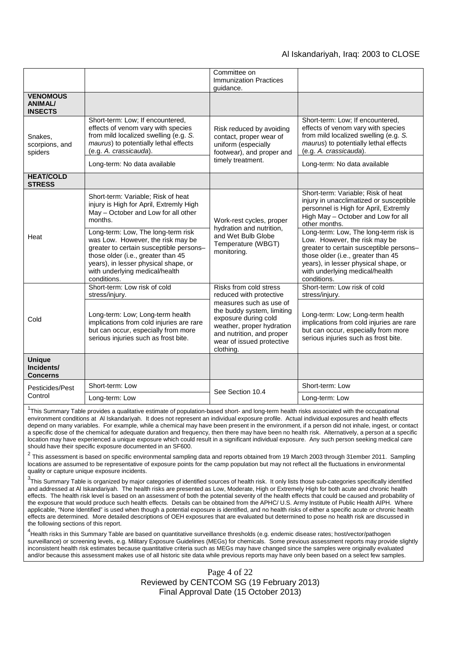### Al Iskandariyah, Iraq: 2003 to CLOSE

|                                                     |                                                                                                                                                                                                                                                                                                                                                                                      | Committee on<br><b>Immunization Practices</b>                                                                                                                                                                                          |                                                                                                                                                                                                                                                                                                                                                                                                                                   |
|-----------------------------------------------------|--------------------------------------------------------------------------------------------------------------------------------------------------------------------------------------------------------------------------------------------------------------------------------------------------------------------------------------------------------------------------------------|----------------------------------------------------------------------------------------------------------------------------------------------------------------------------------------------------------------------------------------|-----------------------------------------------------------------------------------------------------------------------------------------------------------------------------------------------------------------------------------------------------------------------------------------------------------------------------------------------------------------------------------------------------------------------------------|
|                                                     |                                                                                                                                                                                                                                                                                                                                                                                      | quidance.                                                                                                                                                                                                                              |                                                                                                                                                                                                                                                                                                                                                                                                                                   |
| <b>VENOMOUS</b><br><b>ANIMAL/</b><br><b>INSECTS</b> |                                                                                                                                                                                                                                                                                                                                                                                      |                                                                                                                                                                                                                                        |                                                                                                                                                                                                                                                                                                                                                                                                                                   |
| Snakes,<br>scorpions, and<br>spiders                | Short-term: Low; If encountered,<br>effects of venom vary with species<br>from mild localized swelling (e.g. S.<br>maurus) to potentially lethal effects<br>(e.g. A. crassicauda).                                                                                                                                                                                                   | Risk reduced by avoiding<br>contact, proper wear of<br>uniform (especially<br>footwear), and proper and<br>timely treatment.                                                                                                           | Short-term: Low; If encountered,<br>effects of venom vary with species<br>from mild localized swelling (e.g. S.<br>maurus) to potentially lethal effects<br>(e.g. A. crassicauda).                                                                                                                                                                                                                                                |
|                                                     | Long-term: No data available                                                                                                                                                                                                                                                                                                                                                         |                                                                                                                                                                                                                                        | Long-term: No data available                                                                                                                                                                                                                                                                                                                                                                                                      |
| <b>HEAT/COLD</b><br><b>STRESS</b>                   |                                                                                                                                                                                                                                                                                                                                                                                      |                                                                                                                                                                                                                                        |                                                                                                                                                                                                                                                                                                                                                                                                                                   |
| Heat                                                | Short-term: Variable; Risk of heat<br>injury is High for April, Extremly High<br>May - October and Low for all other<br>months.<br>Long-term: Low, The long-term risk<br>was Low. However, the risk may be<br>greater to certain susceptible persons-<br>those older (i.e., greater than 45<br>years), in lesser physical shape, or<br>with underlying medical/health<br>conditions. | Work-rest cycles, proper<br>hydration and nutrition,<br>and Wet Bulb Globe<br>Temperature (WBGT)<br>monitoring.                                                                                                                        | Short-term: Variable; Risk of heat<br>injury in unacclimatized or susceptible<br>personnel is High for April, Extremly<br>High May - October and Low for all<br>other months.<br>Long-term: Low, The long-term risk is<br>Low. However, the risk may be<br>greater to certain susceptible persons-<br>those older (i.e., greater than 45<br>years), in lesser physical shape, or<br>with underlying medical/health<br>conditions. |
| Cold                                                | Short-term: Low risk of cold<br>stress/injury.<br>Long-term: Low; Long-term health<br>implications from cold injuries are rare<br>but can occur, especially from more<br>serious injuries such as frost bite.                                                                                                                                                                        | Risks from cold stress<br>reduced with protective<br>measures such as use of<br>the buddy system, limiting<br>exposure during cold<br>weather, proper hydration<br>and nutrition, and proper<br>wear of issued protective<br>clothing. | Short-term: Low risk of cold<br>stress/injury.<br>Long-term: Low; Long-term health<br>implications from cold injuries are rare<br>but can occur, especially from more<br>serious injuries such as frost bite.                                                                                                                                                                                                                     |
| <b>Unique</b><br>Incidents/<br><b>Concerns</b>      |                                                                                                                                                                                                                                                                                                                                                                                      |                                                                                                                                                                                                                                        |                                                                                                                                                                                                                                                                                                                                                                                                                                   |
| Pesticides/Pest<br>Control                          | Short-term: Low                                                                                                                                                                                                                                                                                                                                                                      | See Section 10.4                                                                                                                                                                                                                       | Short-term: Low                                                                                                                                                                                                                                                                                                                                                                                                                   |
|                                                     | Long-term: Low                                                                                                                                                                                                                                                                                                                                                                       |                                                                                                                                                                                                                                        | Long-term: Low                                                                                                                                                                                                                                                                                                                                                                                                                    |

<sup>1</sup>This Summary Table provides a qualitative estimate of population-based short- and long-term health risks associated with the occupational environment conditions at Al Iskandariyah. It does not represent an individual exposure profile. Actual individual exposures and health effects depend on many variables. For example, while a chemical may have been present in the environment, if a person did not inhale, ingest, or contact a specific dose of the chemical for adequate duration and frequency, then there may have been no health risk. Alternatively, a person at a specific location may have experienced a unique exposure which could result in a significant individual exposure. Any such person seeking medical care should have their specific exposure documented in an SF600.

 $^2$  This assessment is based on specific environmental sampling data and reports obtained from 19 March 2003 through 31ember 2011. Sampling locations are assumed to be representative of exposure points for the camp population but may not reflect all the fluctuations in environmental quality or capture unique exposure incidents.

 $3$ This Summary Table is organized by major categories of identified sources of health risk. It only lists those sub-categories specifically identified and addressed at Al Iskandariyah. The health risks are presented as Low, Moderate, High or Extremely High for both acute and chronic health effects. The health risk level is based on an assessment of both the potential severity of the health effects that could be caused and probability of the exposure that would produce such health effects. Details can be obtained from the APHC/ U.S. Army Institute of Public Health AIPH. Where applicable, "None Identified" is used when though a potential exposure is identified, and no health risks of either a specific acute or chronic health effects are determined. More detailed descriptions of OEH exposures that are evaluated but determined to pose no health risk are discussed in the following sections of this report.

<sup>4</sup>Health risks in this Summary Table are based on quantitative surveillance thresholds (e.g. endemic disease rates; host/vector/pathogen surveillance) or screening levels, e.g. Military Exposure Guidelines (MEGs) for chemicals*.* Some previous assessment reports may provide slightly inconsistent health risk estimates because quantitative criteria such as MEGs may have changed since the samples were originally evaluated and/or because this assessment makes use of all historic site data while previous reports may have only been based on a select few samples.

> Page 4 of 22 Reviewed by CENTCOM SG (19 February 2013) Final Approval Date (15 October 2013)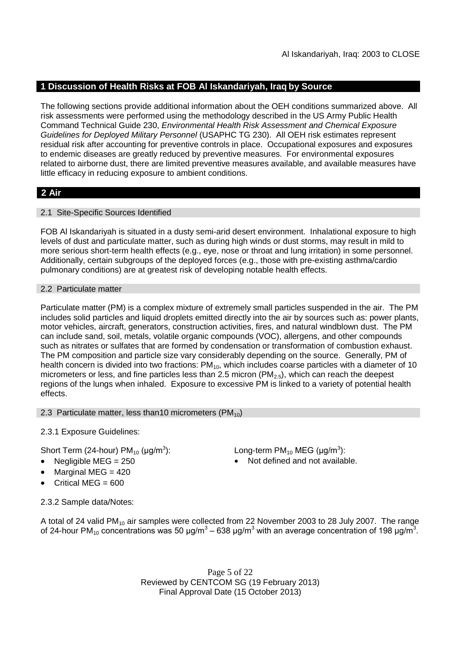### **1 Discussion of Health Risks at FOB Al Iskandariyah, Iraq by Source**

The following sections provide additional information about the OEH conditions summarized above. All risk assessments were performed using the methodology described in the US Army Public Health Command Technical Guide 230, *Environmental Health Risk Assessment and Chemical Exposure Guidelines for Deployed Military Personnel* (USAPHC TG 230). All OEH risk estimates represent residual risk after accounting for preventive controls in place. Occupational exposures and exposures to endemic diseases are greatly reduced by preventive measures. For environmental exposures related to airborne dust, there are limited preventive measures available, and available measures have little efficacy in reducing exposure to ambient conditions.

### **2 Air**

### 2.1 Site-Specific Sources Identified

FOB Al Iskandariyah is situated in a dusty semi-arid desert environment. Inhalational exposure to high levels of dust and particulate matter, such as during high winds or dust storms, may result in mild to more serious short-term health effects (e.g., eye, nose or throat and lung irritation) in some personnel. Additionally, certain subgroups of the deployed forces (e.g., those with pre-existing asthma/cardio pulmonary conditions) are at greatest risk of developing notable health effects.

### 2.2 Particulate matter

Particulate matter (PM) is a complex mixture of extremely small particles suspended in the air. The PM includes solid particles and liquid droplets emitted directly into the air by sources such as: power plants, motor vehicles, aircraft, generators, construction activities, fires, and natural windblown dust. The PM can include sand, soil, metals, volatile organic compounds (VOC), allergens, and other compounds such as nitrates or sulfates that are formed by condensation or transformation of combustion exhaust. The PM composition and particle size vary considerably depending on the source. Generally, PM of health concern is divided into two fractions:  $PM_{10}$ , which includes coarse particles with a diameter of 10 micrometers or less, and fine particles less than 2.5 micron ( $PM<sub>2.5</sub>$ ), which can reach the deepest regions of the lungs when inhaled. Exposure to excessive PM is linked to a variety of potential health effects.

### 2.3 Particulate matter, less than 10 micrometers ( $PM_{10}$ )

2.3.1 Exposure Guidelines:

Short Term (24-hour) PM $_{10}$  (µg/m $^3$ 

- 
- Marginal MEG = 420
- Critical MEG =  $600$

): Long-term PM<sub>10</sub> MEG ( $\mu$ g/m<sup>3</sup>):

Negligible  $MEG = 250$   $\bullet$  Not defined and not available.

2.3.2 Sample data/Notes:

A total of 24 valid PM<sub>10</sub> air samples were collected from 22 November 2003 to 28 July 2007. The range of 24-hour PM<sub>10</sub> concentrations was 50 μg/m<sup>3</sup> – 638 μg/m<sup>3</sup> with an average concentration of 198 μg/m<sup>3</sup>.

> Page 5 of 22 Reviewed by CENTCOM SG (19 February 2013) Final Approval Date (15 October 2013)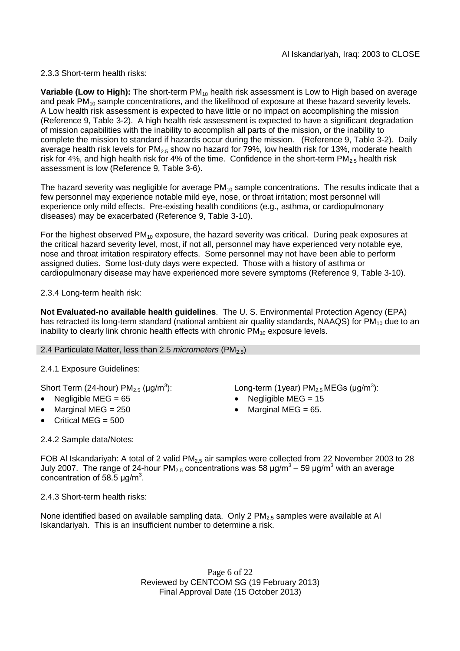2.3.3 Short-term health risks:

**Variable (Low to High):** The short-term PM<sub>10</sub> health risk assessment is Low to High based on average and peak PM<sub>10</sub> sample concentrations, and the likelihood of exposure at these hazard severity levels. A Low health risk assessment is expected to have little or no impact on accomplishing the mission (Reference 9, Table 3-2). A high health risk assessment is expected to have a significant degradation of mission capabilities with the inability to accomplish all parts of the mission, or the inability to complete the mission to standard if hazards occur during the mission. (Reference 9, Table 3-2). Daily average health risk levels for PM<sub>2.5</sub> show no hazard for 79%, low health risk for 13%, moderate health risk for 4%, and high health risk for 4% of the time. Confidence in the short-term  $PM_{2.5}$  health risk assessment is low (Reference 9, Table 3-6).

The hazard severity was negligible for average  $PM_{10}$  sample concentrations. The results indicate that a few personnel may experience notable mild eye, nose, or throat irritation; most personnel will experience only mild effects. Pre-existing health conditions (e.g., asthma, or cardiopulmonary diseases) may be exacerbated (Reference 9, Table 3-10).

For the highest observed  $PM_{10}$  exposure, the hazard severity was critical. During peak exposures at the critical hazard severity level, most, if not all, personnel may have experienced very notable eye, nose and throat irritation respiratory effects. Some personnel may not have been able to perform assigned duties. Some lost-duty days were expected. Those with a history of asthma or cardiopulmonary disease may have experienced more severe symptoms (Reference 9, Table 3-10).

2.3.4 Long-term health risk:

**Not Evaluated-no available health guidelines**. The U. S. Environmental Protection Agency (EPA) has retracted its long-term standard (national ambient air quality standards, NAAQS) for  $PM_{10}$  due to an inability to clearly link chronic health effects with chronic  $PM_{10}$  exposure levels.

### 2.4 Particulate Matter, less than 2.5 *micrometers* (PM<sub>2.5</sub>)

2.4.1 Exposure Guidelines:

Short Term (24-hour) PM $_{2.5}$  (µg/m $^3$ 

- 
- 
- Critical MEG  $= 500$

): Long-term (1year)  $PM_{2.5}$ MEGs (µg/m<sup>3</sup>):

- Negligible MEG = 65 Negligible MEG = 15
- Marginal MEG =  $250$   $\bullet$  Marginal MEG =  $65$ .

2.4.2 Sample data/Notes:

FOB AI Iskandariyah: A total of 2 valid PM<sub>2.5</sub> air samples were collected from 22 November 2003 to 28 July 2007. The range of 24-hour PM<sub>2.5</sub> concentrations was 58 µg/m<sup>3</sup> – 59 µg/m<sup>3</sup> with an average concentration of 58.5  $\mu$ g/m<sup>3</sup>.

2.4.3 Short-term health risks:

None identified based on available sampling data. Only 2  $PM<sub>2.5</sub>$  samples were available at Al Iskandariyah. This is an insufficient number to determine a risk.

> Page 6 of 22 Reviewed by CENTCOM SG (19 February 2013) Final Approval Date (15 October 2013)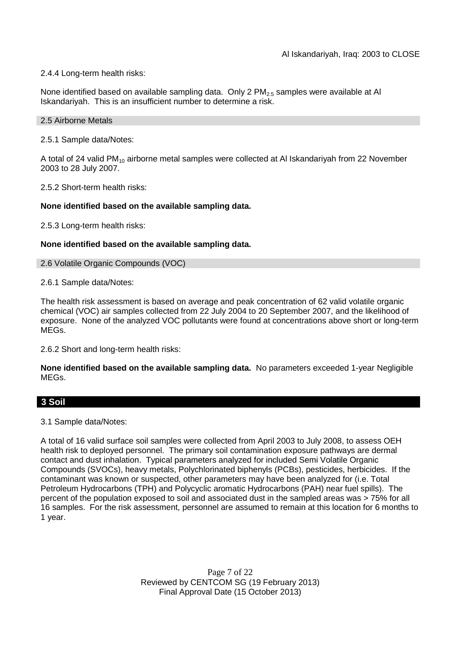### 2.4.4 Long-term health risks:

None identified based on available sampling data. Only 2  $PM<sub>2.5</sub>$  samples were available at Al Iskandariyah. This is an insufficient number to determine a risk.

#### 2.5 Airborne Metals

2.5.1 Sample data/Notes:

A total of 24 valid PM<sub>10</sub> airborne metal samples were collected at AI Iskandariyah from 22 November 2003 to 28 July 2007.

2.5.2 Short-term health risks:

### **None identified based on the available sampling data.**

2.5.3 Long-term health risks:

### **None identified based on the available sampling data.**

#### 2.6 Volatile Organic Compounds (VOC)

2.6.1 Sample data/Notes:

The health risk assessment is based on average and peak concentration of 62 valid volatile organic chemical (VOC) air samples collected from 22 July 2004 to 20 September 2007, and the likelihood of exposure. None of the analyzed VOC pollutants were found at concentrations above short or long-term MEGs.

2.6.2 Short and long-term health risks:

**None identified based on the available sampling data.** No parameters exceeded 1-year Negligible MEGs.

### **3 Soil**

3.1 Sample data/Notes:

A total of 16 valid surface soil samples were collected from April 2003 to July 2008, to assess OEH health risk to deployed personnel. The primary soil contamination exposure pathways are dermal contact and dust inhalation. Typical parameters analyzed for included Semi Volatile Organic Compounds (SVOCs), heavy metals, Polychlorinated biphenyls (PCBs), pesticides, herbicides. If the contaminant was known or suspected, other parameters may have been analyzed for (i.e. Total Petroleum Hydrocarbons (TPH) and Polycyclic aromatic Hydrocarbons (PAH) near fuel spills). The percent of the population exposed to soil and associated dust in the sampled areas was > 75% for all 16 samples. For the risk assessment, personnel are assumed to remain at this location for 6 months to 1 year.

> Page 7 of 22 Reviewed by CENTCOM SG (19 February 2013) Final Approval Date (15 October 2013)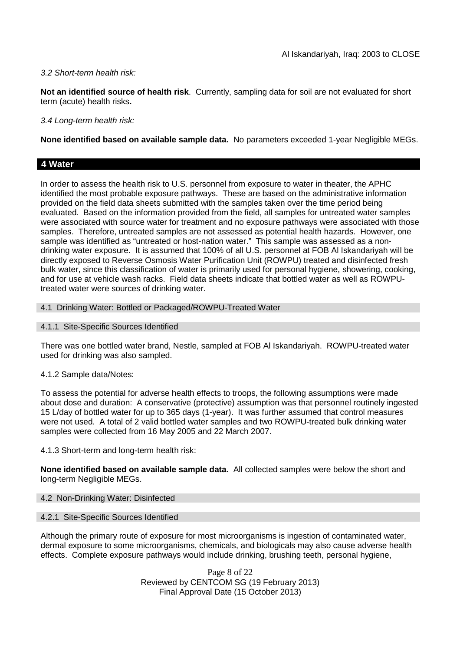### *3.2 Short-term health risk:*

**Not an identified source of health risk**. Currently, sampling data for soil are not evaluated for short term (acute) health risks**.**

*3.4 Long-term health risk:*

**None identified based on available sample data.** No parameters exceeded 1-year Negligible MEGs.

### **4 Water**

In order to assess the health risk to U.S. personnel from exposure to water in theater, the APHC identified the most probable exposure pathways. These are based on the administrative information provided on the field data sheets submitted with the samples taken over the time period being evaluated. Based on the information provided from the field, all samples for untreated water samples were associated with source water for treatment and no exposure pathways were associated with those samples. Therefore, untreated samples are not assessed as potential health hazards. However, one sample was identified as "untreated or host-nation water." This sample was assessed as a nondrinking water exposure. It is assumed that 100% of all U.S. personnel at FOB Al Iskandariyah will be directly exposed to Reverse Osmosis Water Purification Unit (ROWPU) treated and disinfected fresh bulk water, since this classification of water is primarily used for personal hygiene, showering, cooking, and for use at vehicle wash racks. Field data sheets indicate that bottled water as well as ROWPUtreated water were sources of drinking water.

### 4.1 Drinking Water: Bottled or Packaged/ROWPU-Treated Water

4.1.1 Site-Specific Sources Identified

There was one bottled water brand, Nestle, sampled at FOB Al Iskandariyah. ROWPU-treated water used for drinking was also sampled.

### 4.1.2 Sample data/Notes:

To assess the potential for adverse health effects to troops, the following assumptions were made about dose and duration: A conservative (protective) assumption was that personnel routinely ingested 15 L/day of bottled water for up to 365 days (1-year). It was further assumed that control measures were not used. A total of 2 valid bottled water samples and two ROWPU-treated bulk drinking water samples were collected from 16 May 2005 and 22 March 2007.

4.1.3 Short-term and long-term health risk:

**None identified based on available sample data.** All collected samples were below the short and long-term Negligible MEGs.

### 4.2 Non-Drinking Water: Disinfected

### 4.2.1 Site-Specific Sources Identified

Although the primary route of exposure for most microorganisms is ingestion of contaminated water, dermal exposure to some microorganisms, chemicals, and biologicals may also cause adverse health effects. Complete exposure pathways would include drinking, brushing teeth, personal hygiene,

> Page 8 of 22 Reviewed by CENTCOM SG (19 February 2013) Final Approval Date (15 October 2013)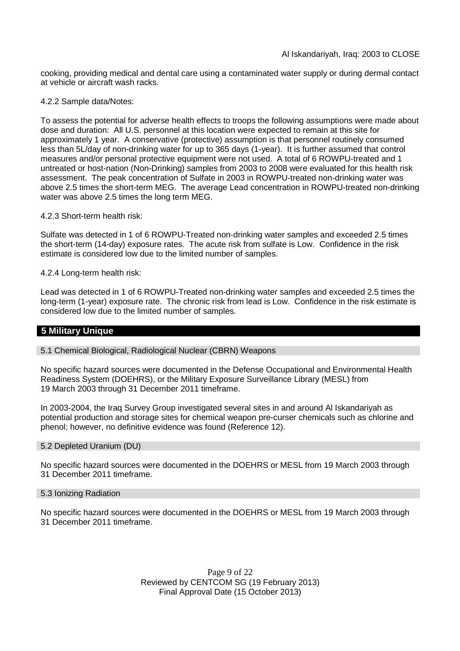cooking, providing medical and dental care using a contaminated water supply or during dermal contact at vehicle or aircraft wash racks.

4.2.2 Sample data/Notes:

To assess the potential for adverse health effects to troops the following assumptions were made about dose and duration: All U.S. personnel at this location were expected to remain at this site for approximately 1 year. A conservative (protective) assumption is that personnel routinely consumed less than 5L/day of non-drinking water for up to 365 days (1-year). It is further assumed that control measures and/or personal protective equipment were not used. A total of 6 ROWPU-treated and 1 untreated or host-nation (Non-Drinking) samples from 2003 to 2008 were evaluated for this health risk assessment. The peak concentration of Sulfate in 2003 in ROWPU-treated non-drinking water was above 2.5 times the short-term MEG. The average Lead concentration in ROWPU-treated non-drinking water was above 2.5 times the long term MEG.

4.2.3 Short-term health risk:

Sulfate was detected in 1 of 6 ROWPU-Treated non-drinking water samples and exceeded 2.5 times the short-term (14-day) exposure rates. The acute risk from sulfate is Low. Confidence in the risk estimate is considered low due to the limited number of samples.

4.2.4 Long-term health risk:

Lead was detected in 1 of 6 ROWPU-Treated non-drinking water samples and exceeded 2.5 times the long-term (1-year) exposure rate. The chronic risk from lead is Low. Confidence in the risk estimate is considered low due to the limited number of samples.

### **5 Military Unique**

5.1 Chemical Biological, Radiological Nuclear (CBRN) Weapons

No specific hazard sources were documented in the Defense Occupational and Environmental Health Readiness System (DOEHRS), or the Military Exposure Surveillance Library (MESL) from 19 March 2003 through 31 December 2011 timeframe.

In 2003-2004, the Iraq Survey Group investigated several sites in and around Al Iskandariyah as potential production and storage sites for chemical weapon pre-curser chemicals such as chlorine and phenol; however, no definitive evidence was found (Reference 12).

### 5.2 Depleted Uranium (DU)

No specific hazard sources were documented in the DOEHRS or MESL from 19 March 2003 through 31 December 2011 timeframe.

#### 5.3 Ionizing Radiation

No specific hazard sources were documented in the DOEHRS or MESL from 19 March 2003 through 31 December 2011 timeframe.

> Page 9 of 22 Reviewed by CENTCOM SG (19 February 2013) Final Approval Date (15 October 2013)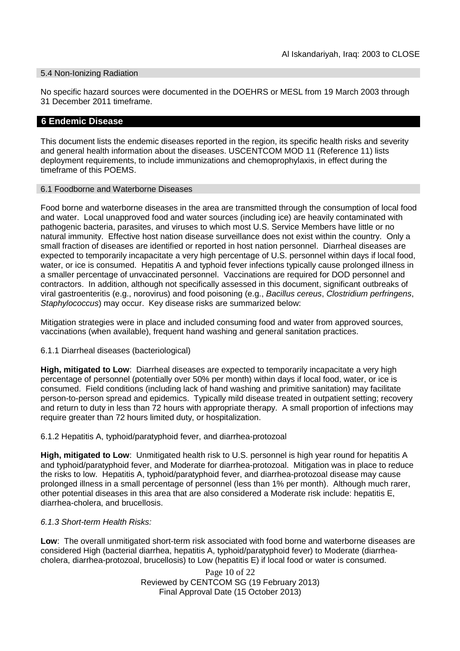### 5.4 Non-Ionizing Radiation

No specific hazard sources were documented in the DOEHRS or MESL from 19 March 2003 through 31 December 2011 timeframe.

### **6 Endemic Disease**

This document lists the endemic diseases reported in the region, its specific health risks and severity and general health information about the diseases. USCENTCOM MOD 11 (Reference 11) lists deployment requirements, to include immunizations and chemoprophylaxis, in effect during the timeframe of this POEMS.

#### 6.1 Foodborne and Waterborne Diseases

Food borne and waterborne diseases in the area are transmitted through the consumption of local food and water. Local unapproved food and water sources (including ice) are heavily contaminated with pathogenic bacteria, parasites, and viruses to which most U.S. Service Members have little or no natural immunity. Effective host nation disease surveillance does not exist within the country. Only a small fraction of diseases are identified or reported in host nation personnel. Diarrheal diseases are expected to temporarily incapacitate a very high percentage of U.S. personnel within days if local food, water, or ice is consumed. Hepatitis A and typhoid fever infections typically cause prolonged illness in a smaller percentage of unvaccinated personnel. Vaccinations are required for DOD personnel and contractors. In addition, although not specifically assessed in this document, significant outbreaks of viral gastroenteritis (e.g., norovirus) and food poisoning (e.g., *Bacillus cereus*, *Clostridium perfringens*, *Staphylococcus*) may occur. Key disease risks are summarized below:

Mitigation strategies were in place and included consuming food and water from approved sources, vaccinations (when available), frequent hand washing and general sanitation practices.

6.1.1 Diarrheal diseases (bacteriological)

**High, mitigated to Low**: Diarrheal diseases are expected to temporarily incapacitate a very high percentage of personnel (potentially over 50% per month) within days if local food, water, or ice is consumed. Field conditions (including lack of hand washing and primitive sanitation) may facilitate person-to-person spread and epidemics. Typically mild disease treated in outpatient setting; recovery and return to duty in less than 72 hours with appropriate therapy. A small proportion of infections may require greater than 72 hours limited duty, or hospitalization.

6.1.2 Hepatitis A, typhoid/paratyphoid fever, and diarrhea-protozoal

**High, mitigated to Low**: Unmitigated health risk to U.S. personnel is high year round for hepatitis A and typhoid/paratyphoid fever, and Moderate for diarrhea-protozoal. Mitigation was in place to reduce the risks to low. Hepatitis A, typhoid/paratyphoid fever, and diarrhea-protozoal disease may cause prolonged illness in a small percentage of personnel (less than 1% per month). Although much rarer, other potential diseases in this area that are also considered a Moderate risk include: hepatitis E, diarrhea-cholera, and brucellosis.

### *6.1.3 Short-term Health Risks:*

**Low**: The overall unmitigated short-term risk associated with food borne and waterborne diseases are considered High (bacterial diarrhea, hepatitis A, typhoid/paratyphoid fever) to Moderate (diarrheacholera, diarrhea-protozoal, brucellosis) to Low (hepatitis E) if local food or water is consumed.

> Page 10 of 22 Reviewed by CENTCOM SG (19 February 2013) Final Approval Date (15 October 2013)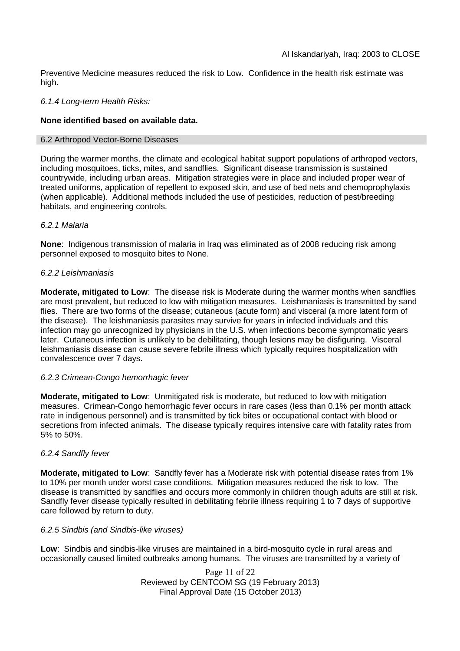Preventive Medicine measures reduced the risk to Low. Confidence in the health risk estimate was high.

### *6.1.4 Long-term Health Risks:*

### **None identified based on available data.**

#### 6.2 Arthropod Vector-Borne Diseases

During the warmer months, the climate and ecological habitat support populations of arthropod vectors, including mosquitoes, ticks, mites, and sandflies. Significant disease transmission is sustained countrywide, including urban areas. Mitigation strategies were in place and included proper wear of treated uniforms, application of repellent to exposed skin, and use of bed nets and chemoprophylaxis (when applicable). Additional methods included the use of pesticides, reduction of pest/breeding habitats, and engineering controls.

### *6.2.1 Malaria*

**None**: Indigenous transmission of malaria in Iraq was eliminated as of 2008 reducing risk among personnel exposed to mosquito bites to None.

### *6.2.2 Leishmaniasis*

**Moderate, mitigated to Low**: The disease risk is Moderate during the warmer months when sandflies are most prevalent, but reduced to low with mitigation measures. Leishmaniasis is transmitted by sand flies. There are two forms of the disease; cutaneous (acute form) and visceral (a more latent form of the disease). The leishmaniasis parasites may survive for years in infected individuals and this infection may go unrecognized by physicians in the U.S. when infections become symptomatic years later. Cutaneous infection is unlikely to be debilitating, though lesions may be disfiguring. Visceral leishmaniasis disease can cause severe febrile illness which typically requires hospitalization with convalescence over 7 days.

### *6.2.3 Crimean-Congo hemorrhagic fever*

**Moderate, mitigated to Low**: Unmitigated risk is moderate, but reduced to low with mitigation measures. Crimean-Congo hemorrhagic fever occurs in rare cases (less than 0.1% per month attack rate in indigenous personnel) and is transmitted by tick bites or occupational contact with blood or secretions from infected animals. The disease typically requires intensive care with fatality rates from 5% to 50%.

### *6.2.4 Sandfly fever*

**Moderate, mitigated to Low**: Sandfly fever has a Moderate risk with potential disease rates from 1% to 10% per month under worst case conditions. Mitigation measures reduced the risk to low. The disease is transmitted by sandflies and occurs more commonly in children though adults are still at risk. Sandfly fever disease typically resulted in debilitating febrile illness requiring 1 to 7 days of supportive care followed by return to duty.

### *6.2.5 Sindbis (and Sindbis-like viruses)*

**Low**: Sindbis and sindbis-like viruses are maintained in a bird-mosquito cycle in rural areas and occasionally caused limited outbreaks among humans. The viruses are transmitted by a variety of

> Page 11 of 22 Reviewed by CENTCOM SG (19 February 2013) Final Approval Date (15 October 2013)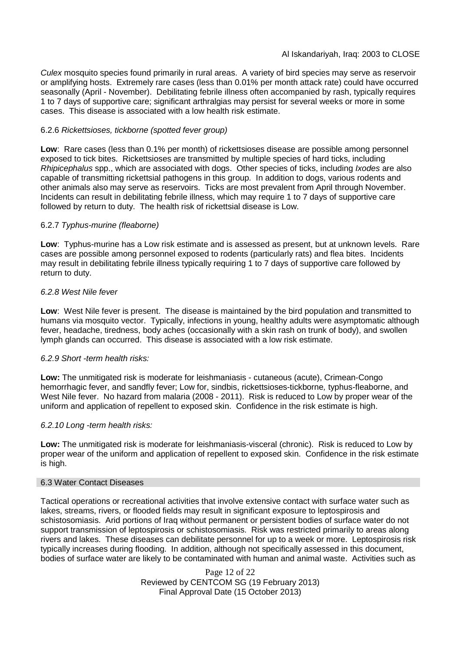*Culex* mosquito species found primarily in rural areas. A variety of bird species may serve as reservoir or amplifying hosts. Extremely rare cases (less than 0.01% per month attack rate) could have occurred seasonally (April - November). Debilitating febrile illness often accompanied by rash, typically requires 1 to 7 days of supportive care; significant arthralgias may persist for several weeks or more in some cases. This disease is associated with a low health risk estimate.

### 6.2.6 *Rickettsioses, tickborne (spotted fever group)*

**Low**: Rare cases (less than 0.1% per month) of rickettsioses disease are possible among personnel exposed to tick bites. Rickettsioses are transmitted by multiple species of hard ticks, including *Rhipicephalus* spp., which are associated with dogs. Other species of ticks, including *Ixodes* are also capable of transmitting rickettsial pathogens in this group. In addition to dogs, various rodents and other animals also may serve as reservoirs. Ticks are most prevalent from April through November. Incidents can result in debilitating febrile illness, which may require 1 to 7 days of supportive care followed by return to duty. The health risk of rickettsial disease is Low.

### 6.2.7 *Typhus-murine (fleaborne)*

**Low**: Typhus-murine has a Low risk estimate and is assessed as present, but at unknown levels. Rare cases are possible among personnel exposed to rodents (particularly rats) and flea bites. Incidents may result in debilitating febrile illness typically requiring 1 to 7 days of supportive care followed by return to duty.

### *6.2.8 West Nile fever*

**Low**: West Nile fever is present. The disease is maintained by the bird population and transmitted to humans via mosquito vector. Typically, infections in young, healthy adults were asymptomatic although fever, headache, tiredness, body aches (occasionally with a skin rash on trunk of body), and swollen lymph glands can occurred. This disease is associated with a low risk estimate.

### *6.2.9 Short -term health risks:*

**Low:** The unmitigated risk is moderate for leishmaniasis - cutaneous (acute), Crimean-Congo hemorrhagic fever, and sandfly fever; Low for, sindbis, rickettsioses-tickborne*,* typhus-fleaborne, and West Nile fever. No hazard from malaria (2008 - 2011). Risk is reduced to Low by proper wear of the uniform and application of repellent to exposed skin. Confidence in the risk estimate is high.

### *6.2.10 Long -term health risks:*

**Low:** The unmitigated risk is moderate for leishmaniasis-visceral (chronic). Risk is reduced to Low by proper wear of the uniform and application of repellent to exposed skin. Confidence in the risk estimate is high.

### 6.3 Water Contact Diseases

Tactical operations or recreational activities that involve extensive contact with surface water such as lakes, streams, rivers, or flooded fields may result in significant exposure to leptospirosis and schistosomiasis. Arid portions of Iraq without permanent or persistent bodies of surface water do not support transmission of leptospirosis or schistosomiasis. Risk was restricted primarily to areas along rivers and lakes. These diseases can debilitate personnel for up to a week or more. Leptospirosis risk typically increases during flooding. In addition, although not specifically assessed in this document, bodies of surface water are likely to be contaminated with human and animal waste. Activities such as

> Page 12 of 22 Reviewed by CENTCOM SG (19 February 2013) Final Approval Date (15 October 2013)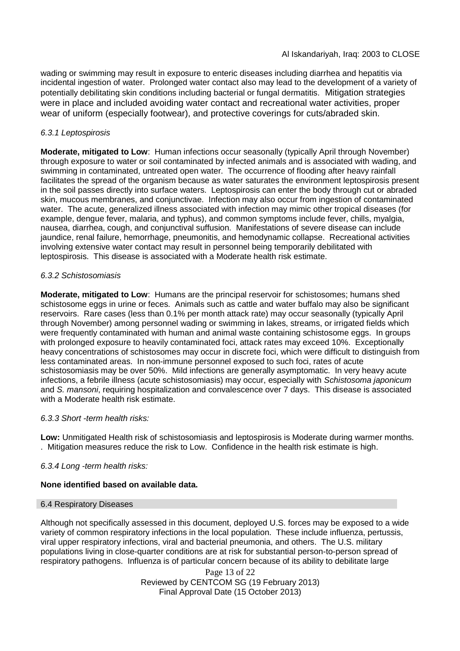wading or swimming may result in exposure to enteric diseases including diarrhea and hepatitis via incidental ingestion of water. Prolonged water contact also may lead to the development of a variety of potentially debilitating skin conditions including bacterial or fungal dermatitis. Mitigation strategies were in place and included avoiding water contact and recreational water activities, proper wear of uniform (especially footwear), and protective coverings for cuts/abraded skin.

### *6.3.1 Leptospirosis*

**Moderate, mitigated to Low**: Human infections occur seasonally (typically April through November) through exposure to water or soil contaminated by infected animals and is associated with wading, and swimming in contaminated, untreated open water. The occurrence of flooding after heavy rainfall facilitates the spread of the organism because as water saturates the environment leptospirosis present in the soil passes directly into surface waters. Leptospirosis can enter the body through cut or abraded skin, mucous membranes, and conjunctivae. Infection may also occur from ingestion of contaminated water. The acute, generalized illness associated with infection may mimic other tropical diseases (for example, dengue fever, malaria, and typhus), and common symptoms include fever, chills, myalgia, nausea, diarrhea, cough, and conjunctival suffusion. Manifestations of severe disease can include jaundice, renal failure, hemorrhage, pneumonitis, and hemodynamic collapse. Recreational activities involving extensive water contact may result in personnel being temporarily debilitated with leptospirosis. This disease is associated with a Moderate health risk estimate.

### *6.3.2 Schistosomiasis*

**Moderate, mitigated to Low**: Humans are the principal reservoir for schistosomes; humans shed schistosome eggs in urine or feces. Animals such as cattle and water buffalo may also be significant reservoirs. Rare cases (less than 0.1% per month attack rate) may occur seasonally (typically April through November) among personnel wading or swimming in lakes, streams, or irrigated fields which were frequently contaminated with human and animal waste containing schistosome eggs. In groups with prolonged exposure to heavily contaminated foci, attack rates may exceed 10%. Exceptionally heavy concentrations of schistosomes may occur in discrete foci, which were difficult to distinguish from less contaminated areas. In non-immune personnel exposed to such foci, rates of acute schistosomiasis may be over 50%. Mild infections are generally asymptomatic. In very heavy acute infections, a febrile illness (acute schistosomiasis) may occur, especially with *Schistosoma japonicum* and *S. mansoni*, requiring hospitalization and convalescence over 7 days. This disease is associated with a Moderate health risk estimate.

### *6.3.3 Short -term health risks:*

**Low:** Unmitigated Health risk of schistosomiasis and leptospirosis is Moderate during warmer months. . Mitigation measures reduce the risk to Low. Confidence in the health risk estimate is high.

### *6.3.4 Long -term health risks:*

### **None identified based on available data.**

### 6.4 Respiratory Diseases

Although not specifically assessed in this document, deployed U.S. forces may be exposed to a wide variety of common respiratory infections in the local population. These include influenza, pertussis, viral upper respiratory infections, viral and bacterial pneumonia, and others. The U.S. military populations living in close-quarter conditions are at risk for substantial person-to-person spread of respiratory pathogens. Influenza is of particular concern because of its ability to debilitate large

> Page 13 of 22 Reviewed by CENTCOM SG (19 February 2013) Final Approval Date (15 October 2013)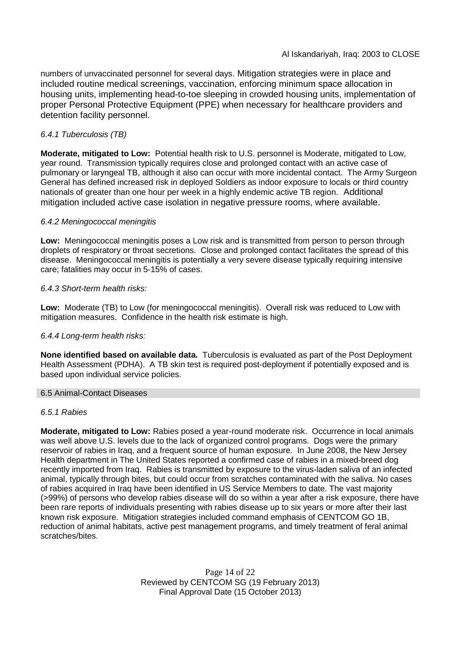numbers of unvaccinated personnel for several days. Mitigation strategies were in place and included routine medical screenings, vaccination, enforcing minimum space allocation in housing units, implementing head-to-toe sleeping in crowded housing units, implementation of proper Personal Protective Equipment (PPE) when necessary for healthcare providers and detention facility personnel.

### *6.4.1 Tuberculosis (TB)*

**Moderate, mitigated to Low:** Potential health risk to U.S. personnel is Moderate, mitigated to Low, year round. Transmission typically requires close and prolonged contact with an active case of pulmonary or laryngeal TB, although it also can occur with more incidental contact. The Army Surgeon General has defined increased risk in deployed Soldiers as indoor exposure to locals or third country nationals of greater than one hour per week in a highly endemic active TB region. Additional mitigation included active case isolation in negative pressure rooms, where available.

### *6.4.2 Meningococcal meningitis*

**Low:** Meningococcal meningitis poses a Low risk and is transmitted from person to person through droplets of respiratory or throat secretions. Close and prolonged contact facilitates the spread of this disease. Meningococcal meningitis is potentially a very severe disease typically requiring intensive care; fatalities may occur in 5-15% of cases.

### *6.4.3 Short-term health risks:*

**Low:** Moderate (TB) to Low (for meningococcal meningitis). Overall risk was reduced to Low with mitigation measures. Confidence in the health risk estimate is high.

### *6.4.4 Long-term health risks:*

**None identified based on available data.** Tuberculosis is evaluated as part of the Post Deployment Health Assessment (PDHA). A TB skin test is required post-deployment if potentially exposed and is based upon individual service policies.

### 6.5 Animal-Contact Diseases

### *6.5.1 Rabies*

**Moderate, mitigated to Low:** Rabies posed a year-round moderate risk. Occurrence in local animals was well above U.S. levels due to the lack of organized control programs. Dogs were the primary reservoir of rabies in Iraq, and a frequent source of human exposure. In June 2008, the New Jersey Health department in The United States reported a confirmed case of rabies in a mixed-breed dog recently imported from Iraq. Rabies is transmitted by exposure to the virus-laden saliva of an infected animal, typically through bites, but could occur from scratches contaminated with the saliva. No cases of rabies acquired in Iraq have been identified in US Service Members to date. The vast majority (>99%) of persons who develop rabies disease will do so within a year after a risk exposure, there have been rare reports of individuals presenting with rabies disease up to six years or more after their last known risk exposure. Mitigation strategies included command emphasis of CENTCOM GO 1B, reduction of animal habitats, active pest management programs, and timely treatment of feral animal scratches/bites.

> Page 14 of 22 Reviewed by CENTCOM SG (19 February 2013) Final Approval Date (15 October 2013)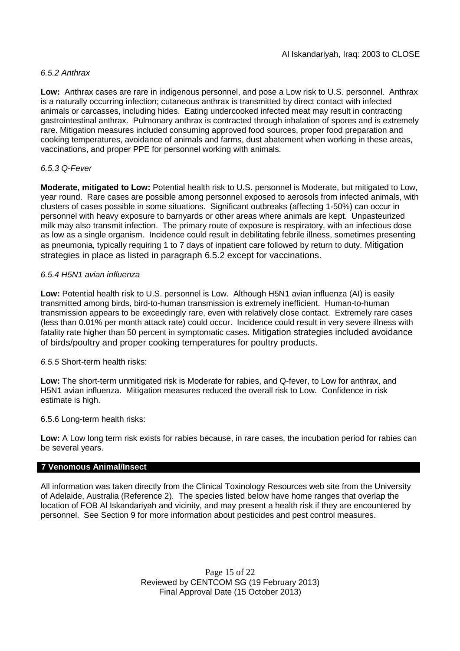### *6.5.2 Anthrax*

**Low:** Anthrax cases are rare in indigenous personnel, and pose a Low risk to U.S. personnel. Anthrax is a naturally occurring infection; cutaneous anthrax is transmitted by direct contact with infected animals or carcasses, including hides. Eating undercooked infected meat may result in contracting gastrointestinal anthrax. Pulmonary anthrax is contracted through inhalation of spores and is extremely rare. Mitigation measures included consuming approved food sources, proper food preparation and cooking temperatures, avoidance of animals and farms, dust abatement when working in these areas, vaccinations, and proper PPE for personnel working with animals.

### *6.5.3 Q-Fever*

**Moderate, mitigated to Low:** Potential health risk to U.S. personnel is Moderate, but mitigated to Low, year round. Rare cases are possible among personnel exposed to aerosols from infected animals, with clusters of cases possible in some situations. Significant outbreaks (affecting 1-50%) can occur in personnel with heavy exposure to barnyards or other areas where animals are kept. Unpasteurized milk may also transmit infection. The primary route of exposure is respiratory, with an infectious dose as low as a single organism. Incidence could result in debilitating febrile illness, sometimes presenting as pneumonia, typically requiring 1 to 7 days of inpatient care followed by return to duty. Mitigation strategies in place as listed in paragraph 6.5.2 except for vaccinations.

### *6.5.4 H5N1 avian influenza*

**Low:** Potential health risk to U.S. personnel is Low. Although H5N1 avian influenza (AI) is easily transmitted among birds, bird-to-human transmission is extremely inefficient. Human-to-human transmission appears to be exceedingly rare, even with relatively close contact. Extremely rare cases (less than 0.01% per month attack rate) could occur. Incidence could result in very severe illness with fatality rate higher than 50 percent in symptomatic cases. Mitigation strategies included avoidance of birds/poultry and proper cooking temperatures for poultry products.

### *6.5.5* Short-term health risks:

**Low:** The short-term unmitigated risk is Moderate for rabies, and Q-fever, to Low for anthrax, and H5N1 avian influenza. Mitigation measures reduced the overall risk to Low. Confidence in risk estimate is high.

### 6.5.6 Long-term health risks:

**Low:** A Low long term risk exists for rabies because, in rare cases, the incubation period for rabies can be several years.

### **7 Venomous Animal/Insect**

All information was taken directly from the Clinical Toxinology Resources web site from the University of Adelaide, Australia (Reference 2). The species listed below have home ranges that overlap the location of FOB Al Iskandariyah and vicinity, and may present a health risk if they are encountered by personnel. See Section 9 for more information about pesticides and pest control measures.

> Page 15 of 22 Reviewed by CENTCOM SG (19 February 2013) Final Approval Date (15 October 2013)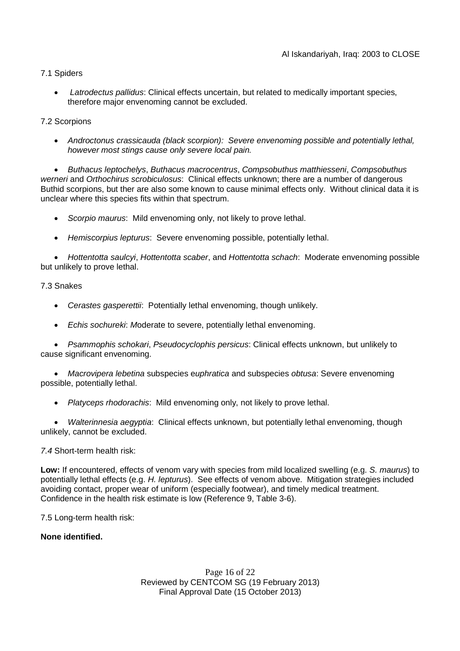### 7.1 Spiders

 *Latrodectus pallidus*: Clinical effects uncertain, but related to medically important species, therefore major envenoming cannot be excluded.

### 7.2 Scorpions

 *Androctonus crassicauda (black scorpion): Severe envenoming possible and potentially lethal, however most stings cause only severe local pain.*

 *Buthacus leptochelys*, *Buthacus macrocentrus*, *Compsobuthus matthiesseni*, *Compsobuthus werneri* and *Orthochirus scrobiculosus*: Clinical effects unknown; there are a number of dangerous Buthid scorpions, but ther are also some known to cause minimal effects only. Without clinical data it is unclear where this species fits within that spectrum.

- *Scorpio maurus*: Mild envenoming only, not likely to prove lethal.
- *Hemiscorpius lepturus*: Severe envenoming possible, potentially lethal.

 *Hottentotta saulcyi*, *Hottentotta scaber*, and *Hottentotta schach*: Moderate envenoming possible but unlikely to prove lethal.

### 7.3 Snakes

- *Cerastes gasperettii*: Potentially lethal envenoming, though unlikely.
- *Echis sochureki*: *M*oderate to severe, potentially lethal envenoming.

 *Psammophis schokari*, *Pseudocyclophis persicus*: Clinical effects unknown, but unlikely to cause significant envenoming.

 *Macrovipera lebetina* subspecies e*uphratica* and subspecies *obtusa*: Severe envenoming possible, potentially lethal.

*Platyceps rhodorachis*: Mild envenoming only, not likely to prove lethal.

 *Walterinnesia aegyptia*: Clinical effects unknown, but potentially lethal envenoming, though unlikely, cannot be excluded.

### *7.4* Short-term health risk:

**Low:** If encountered, effects of venom vary with species from mild localized swelling (e.g. *S. maurus*) to potentially lethal effects (e.g. *H. lepturus*). See effects of venom above. Mitigation strategies included avoiding contact, proper wear of uniform (especially footwear), and timely medical treatment. Confidence in the health risk estimate is low (Reference 9, Table 3-6).

7.5 Long-term health risk:

### **None identified.**

Page 16 of 22 Reviewed by CENTCOM SG (19 February 2013) Final Approval Date (15 October 2013)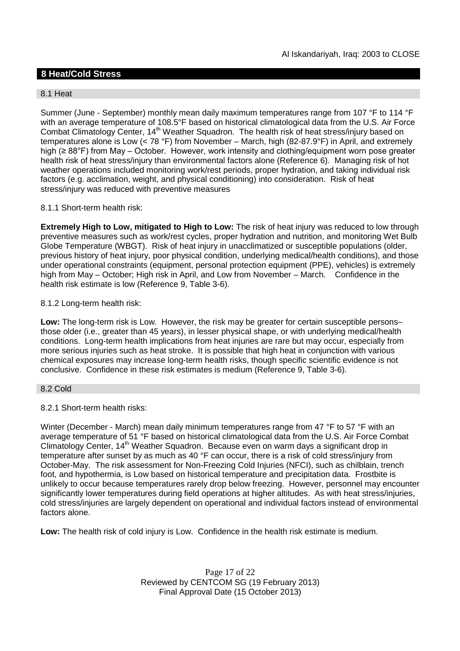### **8 Heat/Cold Stress**

### 8.1 Heat

Summer (June - September) monthly mean daily maximum temperatures range from 107 °F to 114 °F with an average temperature of 108.5°F based on historical climatological data from the U.S. Air Force Combat Climatology Center, 14<sup>th</sup> Weather Squadron. The health risk of heat stress/injury based on temperatures alone is Low (< 78 °F) from November – March, high (82-87.9°F) in April, and extremely high (≥ 88°F) from May – October. However, work intensity and clothing/equipment worn pose greater health risk of heat stress/injury than environmental factors alone (Reference 6). Managing risk of hot weather operations included monitoring work/rest periods, proper hydration, and taking individual risk factors (e.g. acclimation, weight, and physical conditioning) into consideration. Risk of heat stress/injury was reduced with preventive measures

### 8.1.1 Short-term health risk:

**Extremely High to Low, mitigated to High to Low:** The risk of heat injury was reduced to low through preventive measures such as work/rest cycles, proper hydration and nutrition, and monitoring Wet Bulb Globe Temperature (WBGT). Risk of heat injury in unacclimatized or susceptible populations (older, previous history of heat injury, poor physical condition, underlying medical/health conditions), and those under operational constraints (equipment, personal protection equipment (PPE), vehicles) is extremely high from May – October; High risk in April, and Low from November – March. Confidence in the health risk estimate is low (Reference 9, Table 3-6).

### 8.1.2 Long-term health risk:

**Low:** The long-term risk is Low. However, the risk may be greater for certain susceptible persons– those older (i.e., greater than 45 years), in lesser physical shape, or with underlying medical/health conditions. Long-term health implications from heat injuries are rare but may occur, especially from more serious injuries such as heat stroke. It is possible that high heat in conjunction with various chemical exposures may increase long-term health risks, though specific scientific evidence is not conclusive. Confidence in these risk estimates is medium (Reference 9, Table 3-6).

### 8.2 Cold

### 8.2.1 Short-term health risks:

Winter (December - March) mean daily minimum temperatures range from 47 °F to 57 °F with an average temperature of 51 °F based on historical climatological data from the U.S. Air Force Combat Climatology Center, 14<sup>th</sup> Weather Squadron. Because even on warm days a significant drop in temperature after sunset by as much as 40 °F can occur, there is a risk of cold stress/injury from October-May. The risk assessment for Non-Freezing Cold Injuries (NFCI), such as chilblain, trench foot, and hypothermia, is Low based on historical temperature and precipitation data. Frostbite is unlikely to occur because temperatures rarely drop below freezing. However, personnel may encounter significantly lower temperatures during field operations at higher altitudes. As with heat stress/injuries, cold stress/injuries are largely dependent on operational and individual factors instead of environmental factors alone.

**Low:** The health risk of cold injury is Low. Confidence in the health risk estimate is medium.

Page 17 of 22 Reviewed by CENTCOM SG (19 February 2013) Final Approval Date (15 October 2013)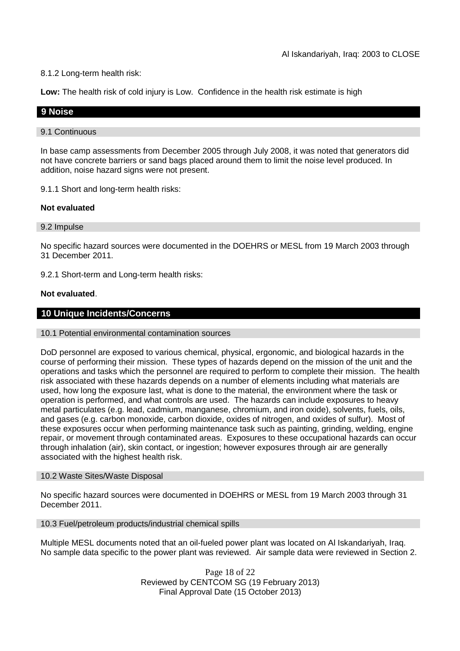### 8.1.2 Long-term health risk:

**Low:** The health risk of cold injury is Low. Confidence in the health risk estimate is high

### **9 Noise**

#### 9.1 Continuous

In base camp assessments from December 2005 through July 2008, it was noted that generators did not have concrete barriers or sand bags placed around them to limit the noise level produced. In addition, noise hazard signs were not present.

9.1.1 Short and long-term health risks:

### **Not evaluated**

#### 9.2 Impulse

No specific hazard sources were documented in the DOEHRS or MESL from 19 March 2003 through 31 December 2011.

9.2.1 Short-term and Long-term health risks:

### **Not evaluated**.

### **10 Unique Incidents/Concerns**

#### 10.1 Potential environmental contamination sources

DoD personnel are exposed to various chemical, physical, ergonomic, and biological hazards in the course of performing their mission. These types of hazards depend on the mission of the unit and the operations and tasks which the personnel are required to perform to complete their mission. The health risk associated with these hazards depends on a number of elements including what materials are used, how long the exposure last, what is done to the material, the environment where the task or operation is performed, and what controls are used. The hazards can include exposures to heavy metal particulates (e.g. lead, cadmium, manganese, chromium, and iron oxide), solvents, fuels, oils, and gases (e.g. carbon monoxide, carbon dioxide, oxides of nitrogen, and oxides of sulfur). Most of these exposures occur when performing maintenance task such as painting, grinding, welding, engine repair, or movement through contaminated areas. Exposures to these occupational hazards can occur through inhalation (air), skin contact, or ingestion; however exposures through air are generally associated with the highest health risk.

#### 10.2 Waste Sites/Waste Disposal

No specific hazard sources were documented in DOEHRS or MESL from 19 March 2003 through 31 December 2011.

### 10.3 Fuel/petroleum products/industrial chemical spills

Multiple MESL documents noted that an oil-fueled power plant was located on Al Iskandariyah, Iraq. No sample data specific to the power plant was reviewed. Air sample data were reviewed in Section 2.

> Page 18 of 22 Reviewed by CENTCOM SG (19 February 2013) Final Approval Date (15 October 2013)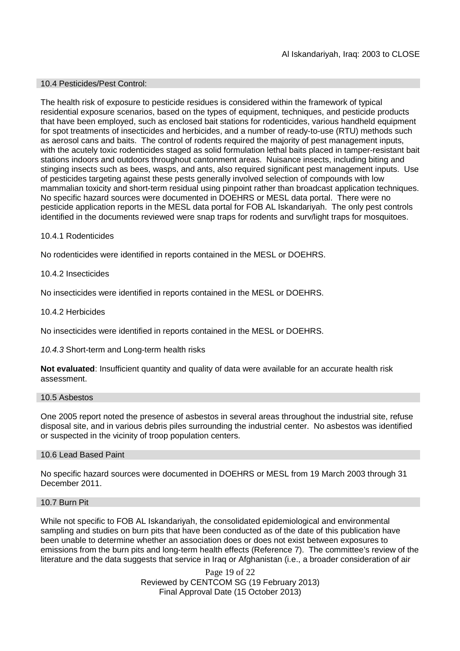### 10.4 Pesticides/Pest Control:

The health risk of exposure to pesticide residues is considered within the framework of typical residential exposure scenarios, based on the types of equipment, techniques, and pesticide products that have been employed, such as enclosed bait stations for rodenticides, various handheld equipment for spot treatments of insecticides and herbicides, and a number of ready-to-use (RTU) methods such as aerosol cans and baits. The control of rodents required the majority of pest management inputs, with the acutely toxic rodenticides staged as solid formulation lethal baits placed in tamper-resistant bait stations indoors and outdoors throughout cantonment areas. Nuisance insects, including biting and stinging insects such as bees, wasps, and ants, also required significant pest management inputs. Use of pesticides targeting against these pests generally involved selection of compounds with low mammalian toxicity and short-term residual using pinpoint rather than broadcast application techniques. No specific hazard sources were documented in DOEHRS or MESL data portal. There were no pesticide application reports in the MESL data portal for FOB AL Iskandariyah. The only pest controls identified in the documents reviewed were snap traps for rodents and surv/light traps for mosquitoes.

### 10.4.1 Rodenticides

No rodenticides were identified in reports contained in the MESL or DOEHRS.

### 10.4.2 Insecticides

No insecticides were identified in reports contained in the MESL or DOEHRS.

### 10.4.2 Herbicides

No insecticides were identified in reports contained in the MESL or DOEHRS.

### *10.4.3* Short-term and Long-term health risks

**Not evaluated**: Insufficient quantity and quality of data were available for an accurate health risk assessment.

#### 10.5 Asbestos

One 2005 report noted the presence of asbestos in several areas throughout the industrial site, refuse disposal site, and in various debris piles surrounding the industrial center. No asbestos was identified or suspected in the vicinity of troop population centers.

#### 10.6 Lead Based Paint

No specific hazard sources were documented in DOEHRS or MESL from 19 March 2003 through 31 December 2011.

#### 10.7 Burn Pit

While not specific to FOB AL Iskandariyah, the consolidated epidemiological and environmental sampling and studies on burn pits that have been conducted as of the date of this publication have been unable to determine whether an association does or does not exist between exposures to emissions from the burn pits and long-term health effects (Reference 7). The committee's review of the literature and the data suggests that service in Iraq or Afghanistan (i.e., a broader consideration of air

> Page 19 of 22 Reviewed by CENTCOM SG (19 February 2013) Final Approval Date (15 October 2013)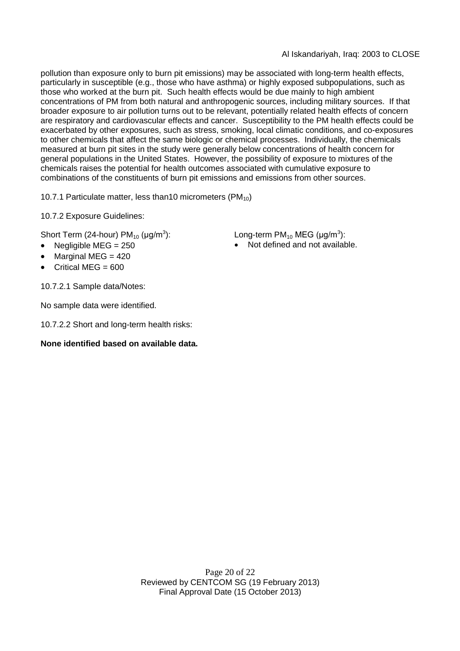pollution than exposure only to burn pit emissions) may be associated with long-term health effects, particularly in susceptible (e.g., those who have asthma) or highly exposed subpopulations, such as those who worked at the burn pit. Such health effects would be due mainly to high ambient concentrations of PM from both natural and anthropogenic sources, including military sources. If that broader exposure to air pollution turns out to be relevant, potentially related health effects of concern are respiratory and cardiovascular effects and cancer. Susceptibility to the PM health effects could be exacerbated by other exposures, such as stress, smoking, local climatic conditions, and co-exposures to other chemicals that affect the same biologic or chemical processes. Individually, the chemicals measured at burn pit sites in the study were generally below concentrations of health concern for general populations in the United States. However, the possibility of exposure to mixtures of the chemicals raises the potential for health outcomes associated with cumulative exposure to combinations of the constituents of burn pit emissions and emissions from other sources.

10.7.1 Particulate matter, less than10 micrometers  $(PM_{10})$ 

10.7.2 Exposure Guidelines:

Short Term (24-hour) PM $_{10}$  (µg/m $^3$ 

- 
- Marginal MEG  $= 420$
- Critical MEG =  $600$

10.7.2.1 Sample data/Notes:

No sample data were identified.

10.7.2.2 Short and long-term health risks:

### **None identified based on available data.**

): Long-term PM<sub>10</sub> MEG ( $\mu$ g/m $^3$ ):

Negligible  $MEG = 250$  **Not defined and not available.** 

Page 20 of 22 Reviewed by CENTCOM SG (19 February 2013) Final Approval Date (15 October 2013)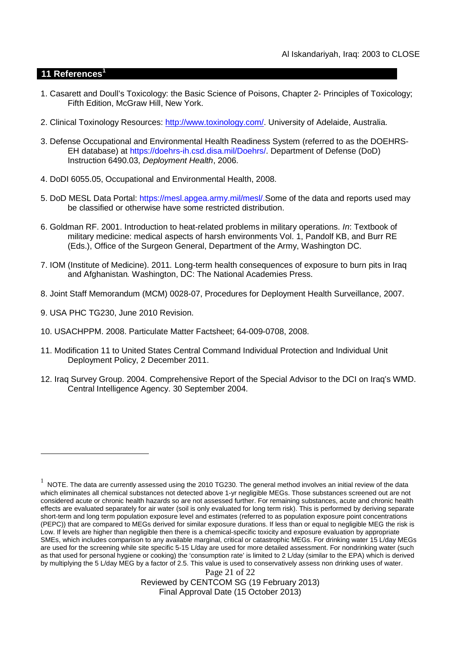### **11 References<sup>1</sup>**

- 1. Casarett and Doull's Toxicology: the Basic Science of Poisons, Chapter 2- Principles of Toxicology; Fifth Edition, McGraw Hill, New York.
- 2. Clinical Toxinology Resources: http://www.toxinology.com/. University of Adelaide, Australia.
- 3. Defense Occupational and Environmental Health Readiness System (referred to as the DOEHRS-EH database) at https://doehrs-ih.csd.disa.mil/Doehrs/. Department of Defense (DoD) Instruction 6490.03, *Deployment Health*, 2006.
- 4. DoDI 6055.05, Occupational and Environmental Health, 2008.
- 5. DoD MESL Data Portal: https://mesl.apgea.army.mil/mesl/.Some of the data and reports used may be classified or otherwise have some restricted distribution.
- 6. Goldman RF. 2001. Introduction to heat-related problems in military operations. *In*: Textbook of military medicine: medical aspects of harsh environments Vol. 1, Pandolf KB, and Burr RE (Eds.), Office of the Surgeon General, Department of the Army, Washington DC.
- 7. IOM (Institute of Medicine). 2011*.* Long-term health consequences of exposure to burn pits in Iraq and Afghanistan*.* Washington, DC: The National Academies Press.
- 8. Joint Staff Memorandum (MCM) 0028-07, Procedures for Deployment Health Surveillance, 2007.
- 9. USA PHC TG230, June 2010 Revision.
- 10. USACHPPM. 2008. Particulate Matter Factsheet; 64-009-0708, 2008.
- 11. Modification 11 to United States Central Command Individual Protection and Individual Unit Deployment Policy, 2 December 2011.
- 12. Iraq Survey Group. 2004. Comprehensive Report of the Special Advisor to the DCI on Iraq's WMD. Central Intelligence Agency. 30 September 2004.

Reviewed by CENTCOM SG (19 February 2013) Final Approval Date (15 October 2013)

Page 21 of 22  $^1$  NOTE. The data are currently assessed using the 2010 TG230. The general method involves an initial review of the data which eliminates all chemical substances not detected above 1-yr negligible MEGs. Those substances screened out are not considered acute or chronic health hazards so are not assessed further. For remaining substances, acute and chronic health effects are evaluated separately for air water (soil is only evaluated for long term risk). This is performed by deriving separate short-term and long term population exposure level and estimates (referred to as population exposure point concentrations (PEPC)) that are compared to MEGs derived for similar exposure durations. If less than or equal to negligible MEG the risk is Low. If levels are higher than negligible then there is a chemical-specific toxicity and exposure evaluation by appropriate SMEs, which includes comparison to any available marginal, critical or catastrophic MEGs. For drinking water 15 L/day MEGs are used for the screening while site specific 5-15 L/day are used for more detailed assessment. For nondrinking water (such as that used for personal hygiene or cooking) the 'consumption rate' is limited to 2 L/day (similar to the EPA) which is derived by multiplying the 5 L/day MEG by a factor of 2.5. This value is used to conservatively assess non drinking uses of water.